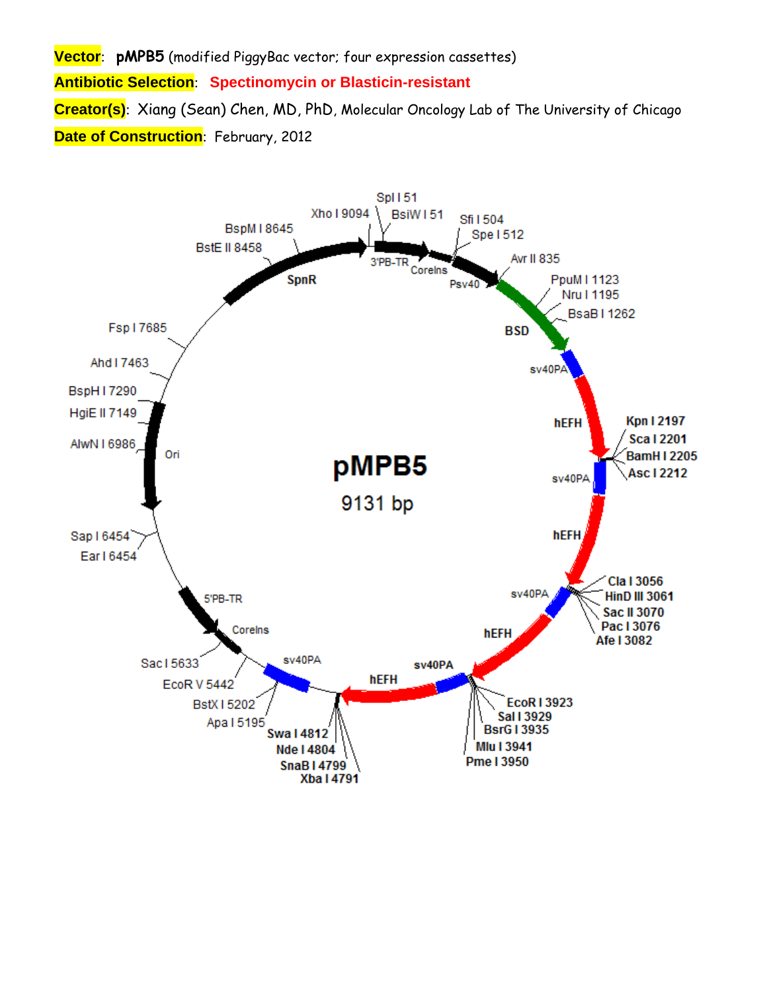**Vector**: **pMPB5** (modified PiggyBac vector; four expression cassettes) **Antibiotic Selection**: **Spectinomycin or Blasticin-resistant Creator(s)**: Xiang (Sean) Chen, MD, PhD, Molecular Oncology Lab of The University of Chicago **Date of Construction**: February, 2012

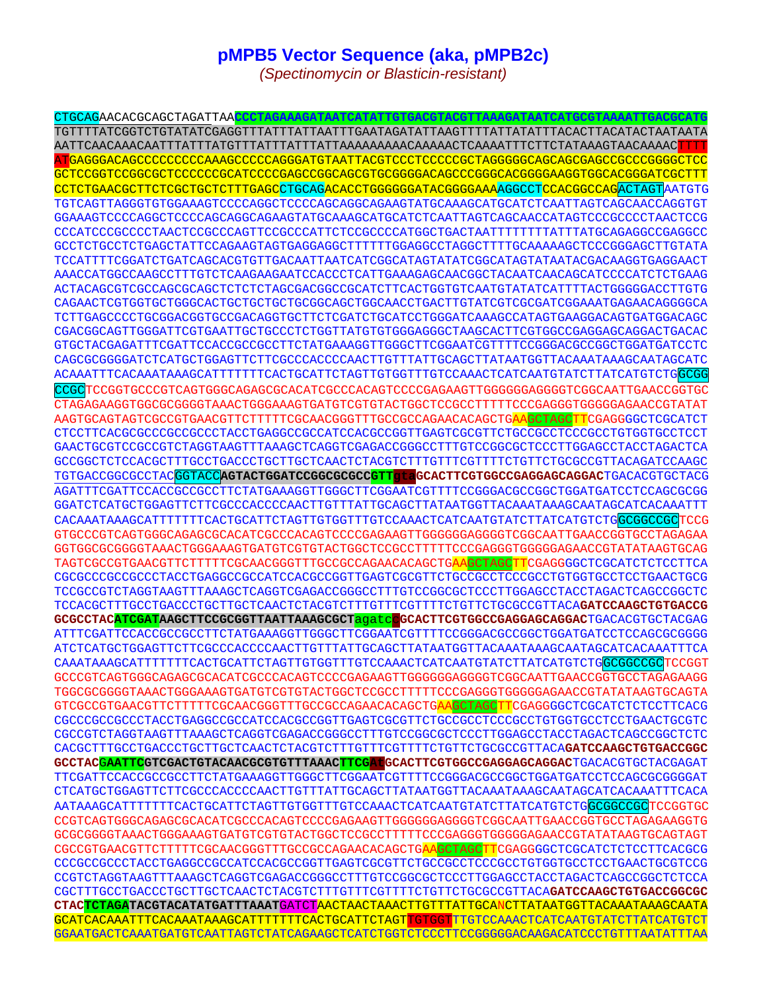## **pMPB5 Vector Sequence (aka, pMPB2c)**

*(Spectinomycin or Blasticin-resistant)* 

CTGCAGAACACGCAGCTAGATTAA**CCCTAGAAAGATAATCATATTGTGACGTACGTTAAAGATAATCATGCGTAAAATTGACGCATG** TGTTTTATCGGTCTGTATATCGAGGTTTATTTATTAATTTGAATAGATATTAAGTTTTATTATATTTACACTTACATACTAATAATA AATTCAACAAACAATTTATTTATGTTTATTTATTTATTAAAAAAAAACAAAAACTCAAAATTTCTTCTATAAAGTAACAAAACTTTT ATGAGGGACAGCCCCCCCCCAAAGCCCCCAGGGATGTAATTACGTCCCTCCCCCGCTAGGGGGCAGCAGCGAGCCGCCCGGGGCTCC GCTCCGGTCCGGCGCTCCCCCCGCATCCCCGAGCCGGCAGCGTGCGGGGACAGCCCGGGCACGGGGAAGGTGGCACGGGATCGCTTT CCTCTGAACGCTTCTCGCTGCTCTTTGAGCCTGCAGACACCTGGGGGGATACGGGGAAAAGGCCTCCACGGCCAGACTAGTAATGTG TGTCAGTTAGGGTGTGGAAAGTCCCCAGGCTCCCCAGCAGGCAGAAGTATGCAAAGCATGCATCTCAATTAGTCAGCAACCAGGTGT GGAAAGTCCCCAGGCTCCCCAGCAGGCAGAAGTATGCAAAGCATGCATCTCAATTAGTCAGCAACCATAGTCCCGCCCCTAACTCCG CCCATCCCGCCCCTAACTCCGCCCAGTTCCGCCCATTCTCCGCCCCATGGCTGACTAATTTTTTTTATTTATGCAGAGGCCGAGGCC GCCTCTGCCTCTGAGCTATTCCAGAAGTAGTGAGGAGGCTTTTTTGGAGGCCTAGGCTTTTGCAAAAAGCTCCCGGGAGCTTGTATA TCCATTTTCGGATCTGATCAGCACGTGTTGACAATTAATCATCGGCATAGTATATCGGCATAGTATAATACGACAAGGTGAGGAACT AAACCATGGCCAAGCCTTTGTCTCAAGAAGAATCCACCCTCATTGAAAGAGCAACGGCTACAATCAACAGCATCCCCATCTCTGAAG ACTACAGCGTCGCCAGCGCAGCTCTCTCTAGCGACGGCCGCATCTTCACTGGTGTCAATGTATATCATTTTACTGGGGGACCTTGTG CAGAACTCGTGGTGCTGGGCACTGCTGCTGCTGCGGCAGCTGGCAACCTGACTTGTATCGTCGCGATCGGAAATGAGAACAGGGGCA TCTTGAGCCCCTGCGGACGGTGCCGACAGGTGCTTCTCGATCTGCATCCTGGGATCAAAGCCATAGTGAAGGACAGTGATGGACAGC CGACGGCAGTTGGGATTCGTGAATTGCTGCCCTCTGGTTATGTGTGGGAGGGCTAAGCACTTCGTGGCCGAGGAGCAGGACTGACAC GTGCTACGAGATTTCGATTCCACCGCCGCCTTCTATGAAAGGTTGGGCTTCGGAATCGTTTTCCGGGACGCCGGCTGGATGATCCTC CAGCGCGGGGATCTCATGCTGGAGTTCTTCGCCCACCCCAACTTGTTTATTGCAGCTTATAATGGTTACAAATAAAGCAATAGCATC ACAAATTTCACAAATAAAGCATTTTTTTCACTGCATTCTAGTTGTGGTTTGTCCAAACTCATCAATGTATCTTATCATGTCTGGCGG CCGCTCCGGTGCCCGTCAGTGGGCAGAGCGCACATCGCCCACAGTCCCCGAGAAGTTGGGGGGAGGGTCGGCAATTGAACCGGTGC CTAGAGAAGGTGGCGCGGGGTAAACTGGGAAAGTGATGTCGTGTACTGGCTCCGCCTTTTTCCCGAGGGTGGGGGAGAACCGTATAT AAGTGCAGTAGTCGCCGTGAACGTTCTTTTTCGCAACGGGTTTGCCGCCAGAACACAGCTGAAGCTAGCTTCGAGGGGCTCGCATCT CTCCTTCACGCGCCCGCCGCCCTACCTGAGGCCGCCATCCACGCCGGTTGAGTCGCGTTCTGCCGCCTCCCGCCTGTGGTGCCTCCT GAACTGCGTCCGCCGTCTAGGTAAGTTTAAAGCTCAGGTCGAGACCGGGCCTTTGTCCGGCGCTCCCTTGGAGCCTACCTAGACTCA GCCGGCTCTCCACGCTTTGCCTGACCCTGCTTGCTCAACTCTACGTCTTTGTTTCGTTTTCTGTTCTGCGCCGTTACAGATCCAAGC TGTGACCGGCGCCTACGGTACC**AGTACTGGATCCGGCGCGCCGTTgtaGCACTTCGTGGCCGAGGAGCAGGAC**TGACACGTGCTACG AGATTTCGATTCCACCGCCGCCTTCTATGAAAGGTTGGGCTTCGGAATCGTTTTCCGGGACGCCGGCTGGATGATCCTCCAGCGCGG GGATCTCATGCTGGAGTTCTTCGCCCACCCCAACTTGTTTATTGCAGCTTATAATGGTTACAAATAAAGCAATAGCATCACAAATTT CACAAATAAAGCATTTTTTTCACTGCATTCTAGTTGTGGTTTGTCCAAACTCATCAATGTATCTTATCATGTCTGGCGGCCGCTCCG GTGCCCGTCAGTGGGCAGAGCGCACATCGCCCACAGTCCCCGAGAAGTTGGGGGGAGGGGTCGGCAATTGAACCGGTGCCTAGAGAA GGTGGCGCGGGGTAAACTGGGAAAGTGATGTCGTGTACTGGCTCCGCCTTTTTCCCGAGGGTGGGGGAGAACCGTATATAAGTGCAG TAGTCGCCGTGAACGTTCTTTTTCGCAACGGGTTTGCCGCCAGAACACAGCTGAAGCTAGCTTCGAGGGGCTCGCATCTCTCCTTCA CGCGCCCGCCGCCCTACCTGAGGCCGCCATCCACGCCGGTTGAGTCGCGTTCTGCCGCCTCCCGCCTGTGGTGCCTCCTGAACTGCG TCCGCCGTCTAGGTAAGTTTAAAGCTCAGGTCGAGACCGGGCCTTTGTCCGGCGCTCCCTTGGAGCCTACCTAGACTCAGCCGGCTC TCCACGCTTTGCCTGACCCTGCTTGCTCAACTCTACGTCTTTGTTTCGTTTTCTGTTCTGCGCCGTTACA**GATCCAAGCTGTGACCG GCGCCTACATCGATAAGCTTCCGCGGTTAATTAAAGCGCT**agatcc**GCACTTCGTGGCCGAGGAGCAGGAC**TGACACGTGCTACGAG ATTTCGATTCCACCGCCGCCTTCTATGAAAGGTTGGGCTTCGGAATCGTTTTCCGGGACGCCGGCTGGATGATCCTCCAGCGCGGGG ATCTCATGCTGGAGTTCTTCGCCCACCCCAACTTGTTTATTGCAGCTTATAATGGTTACAAATAAAGCAATAGCATCACAAATTTCA CAAATAAAGCATTTTTTTCACTGCATTCTAGTTGTGGTTTGTCCAAACTCATCAATGTATCTTATCATGTCTGGCGGCCGCTCCGGT GCCCGTCAGTGGGCAGAGCGCACATCGCCCACAGTCCCCGAGAAGTTGGGGGGAGGGGTCGGCAATTGAACCGGTGCCTAGAGAAGG TGGCGCGGGGTAAACTGGGAAAGTGATGTCGTGTACTGGCTCCGCCTTTTTCCCGAGGGTGGGGGAGAACCGTATATAAGTGCAGTA GTCGCCGTGAACGTTCTTTTTCGCAACGGGTTTGCCGCCAGAACACAGCTGAAGCTAGCTTCGAGGGGCTCGCATCTCTCCTTCACG CGCCCGCCGCCCTACCTGAGGCCGCCATCCACGCCGGTTGAGTCGCGTTCTGCCGCCTCCCGCCTGTGGTGCCTCCTGAACTGCGTC CGCCGTCTAGGTAAGTTTAAAGCTCAGGTCGAGACCGGGCCTTTGTCCGGCGCTCCCTTGGAGCCTACCTAGACTCAGCCGGCTCTC CACGCTTTGCCTGACCCTGCTTGCTCAACTCTACGTCTTTGTTTCGTTTTCTGTTCTGCGCCGTTACA**GATCCAAGCTGTGACCGGC GCCTAC**G**AATTCGTCGACTGTACAACGCGTGTTTAAACTTCGAtGCACTTCGTGGCCGAGGAGCAGGAC**TGACACGTGCTACGAGAT TTCGATTCCACCGCCGCCTTCTATGAAAGGTTGGGCTTCGGAATCGTTTTCCGGGACGCCGGCTGGATGATCCTCCAGCGCGGGGAT CTCATGCTGGAGTTCTTCGCCCACCCCAACTTGTTTATTGCAGCTTATAATGGTTACAAATAAAGCAATAGCATCACAAATTTCACA AATAAAGCATTTTTTTCACTGCATTCTAGTTGTGGTTTGTCCAAACTCATCAATGTATCTTATCATGTCTGGCGGCCGCTCCGGTGC CCGTCAGTGGGCAGAGCGCACATCGCCCACAGTCCCCGAGAAGTTGGGGGGAGGGGTCGGCAATTGAACCGGTGCCTAGAGAAGGTG GCGCGGGGTAAACTGGGAAAGTGATGTCGTGTACTGGCTCCGCCTTTTTCCCGAGGGTGGGGGAGAACCGTATATAAGTGCAGTAGT CGCCGTGAACGTTCTTTTTCGCAACGGGTTTGCCGCCAGAACACAGCTGAAGCTAGCTTCGAGGGGCTCGCATCTCTCCTTCACGCG CCCGCCGCCCTACCTGAGGCCGCCATCCACGCCGGTTGAGTCGCGTTCTGCCGCCTCCCGCCTGTGGTGCCTCCTGAACTGCGTCCG CCGTCTAGGTAAGTTTAAAGCTCAGGTCGAGACCGGGCCTTTGTCCGGCGCTCCCTTGGAGCCTACCTAGACTCAGCCGGCTCTCCA CGCTTTGCCTGACCCTGCTTGCTCAACTCTACGTCTTTGTTTCGTTTTCTGTTCTGCGCCGTTACA**GATCCAAGCTGTGACCGGCGC CTACTCTAGATACGTACATATGATTTAAAT**GATCTAACTAACTAAACTTGTTTATTGCANCTTATAATGGTTACAAATAAAGCAATA GCATCACAAATTTCACAAATAAAGCATTTTTTTCACTGCATTCTAGTTGTGGTTTGTCCAAACTCATCAATGTATCTTATCATGTCT GGAATGACTCAAATGATGTCAATTAGTCTATCAGAAGCTCATCTGGTCTCCCTTCCGGGGGACAAGACATCCCTGTTTAATATTTAA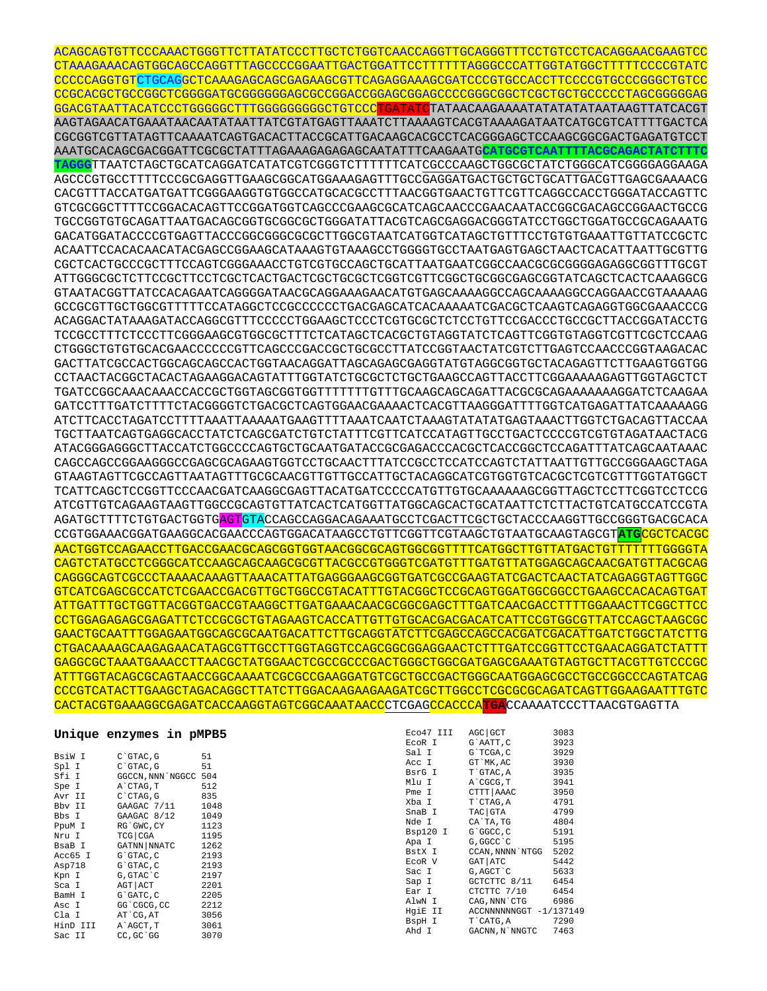ACAGCAGTGTTCCCAAACTGGGTTCTTATATCCCTTGCTCTGGTCAACCAGGTTGCAGGGTTTCCTGTCCTCACAGGAACGAAGTCC CTAAAGAAACAGTGGCAGCCAGGTTTAGCCCCGGAATTGACTGGATTCCTTTTTTAGGGCCCATTGGTATGGCTTTTTCCCCGTATC CCCCCAGGTGTCTGCAGGCTCAAAGAGCAGCGAGAAGCGTTCAGAGGAAAGCGATCCCGTGCCACCTTCCCCGTGCCCGGGCTGTCC CCGCACGCTGCCGGCTCGGGGATGCGGGGGGAGCGCCGGACCGGAGCGGAGCCCCGGGCGGCTCGCTGCTGCCCCCTAGCGGGGGAG GGACGTAATTACATCCCTGGGGGCTTTGGGGGGGGGCTGTCCCTGATATCTATAACAAGAAAATATATATATAATAAGTTATCACGT AAGTAGAACATGAAATAACAATATAATTATCGTATGAGTTAAATCTTAAAAGTCACGTAAAAGATAATCATGCGTCATTTTGACTCA CGCGGTCGTTATAGTTCAAAATCAGTGACACTTACCGCATTGACAAGCACGCCTCACGGGAGCTCCAAGCGGCGACTGAGATGTCCT AAATGCACAGCGACGGATTCGCGCTATTTAGAAAGAGAGAGCAATATTTCAAGAATG**CATGCGTCAATTTTACGCAGACTATCTTTC**

**TAGGG**TTAATCTAGCTGCATCAGGATCATATCGTCGGGTCTTTTTTCATCGCCCAAGCTGGCGCTATCTGGGCATCGGGGAGGAAGA AGCCCGTGCCTTTTCCCGCGAGGTTGAAGCGGCATGGAAAGAGTTTGCCGAGGATGACTGCTGCTGCATTGACGTTGAGCGAAAACG CACGTTTACCATGATGATTCGGGAAGGTGTGGCCATGCACGCCTTTAACGGTGAACTGTTCGTTCAGGCCACCTGGGATACCAGTTC GTCGCGGCTTTTCCGGACACAGTTCCGGATGGTCAGCCCGAAGCGCATCAGCAACCCGAACAATACCGGCGACAGCCGGAACTGCCG TGCCGGTGTGCAGATTAATGACAGCGGTGCGGCGCTGGGATATTACGTCAGCGAGGACGGGTATCCTGGCTGGATGCCGCAGAAATG GACATGGATACCCCGTGAGTTACCCGGCGGGCGCGCTTGGCGTAATCATGGTCATAGCTGTTTCCTGTGTGAAATTGTTATCCGCTC ACAATTCCACACAACATACGAGCCGGAAGCATAAAGTGTAAAGCCTGGGGTGCCTAATGAGTGAGCTAACTCACATTAATTGCGTTG CGCTCACTGCCCGCTTTCCAGTCGGGAAACCTGTCGTGCCAGCTGCATTAATGAATCGGCCAACGCGCGGGGAGAGGCGGTTTGCGT ATTGGGCGCTCTTCCGCTTCCTCGCTCACTGACTCGCTGCGCTCGGTCGTTCGGCTGCGGCGAGCGGTATCAGCTCACTCAAAGGCG GTAATACGGTTATCCACAGAATCAGGGGATAACGCAGGAAAGAACATGTGAGCAAAAGGCCAGCAAAAGGCCAGGAACCGTAAAAAG GCCGCGTTGCTGGCGTTTTTCCATAGGCTCCGCCCCCCTGACGAGCATCACAAAAATCGACGCTCAAGTCAGAGGTGGCGAAACCCG ACAGGACTATAAAGATACCAGGCGTTTCCCCCTGGAAGCTCCCTCGTGCGCTCTCCTGTTCCGACCCTGCCGCTTACCGGATACCTG TCCGCCTTTCTCCCTTCGGGAAGCGTGGCGCTTTCTCATAGCTCACGCTGTAGGTATCTCAGTTCGGTGTAGGTCGTTCGCTCCAAG CTGGGCTGTGTGCACGAACCCCCCGTTCAGCCCGACCGCTGCGCCTTATCCGGTAACTATCGTCTTGAGTCCAACCCGGTAAGACAC GACTTATCGCCACTGGCAGCAGCCACTGGTAACAGGATTAGCAGAGCGAGGTATGTAGGCGGTGCTACAGAGTTCTTGAAGTGGTGG CCTAACTACGGCTACACTAGAAGGACAGTATTTGGTATCTGCGCTCTGCTGAAGCCAGTTACCTTCGGAAAAAGAGTTGGTAGCTCT TGATCCGGCAAACAAACCACCGCTGGTAGCGGTGGTTTTTTTGTTTGCAAGCAGCAGATTACGCGCAGAAAAAAAGGATCTCAAGAA GATCCTTTGATCTTTTCTACGGGGTCTGACGCTCAGTGGAACGAAAACTCACGTTAAGGGATTTTGGTCATGAGATTATCAAAAAGG ATCTTCACCTAGATCCTTTTAAATTAAAAATGAAGTTTTAAATCAATCTAAAGTATATATGAGTAAACTTGGTCTGACAGTTACCAA TGCTTAATCAGTGAGGCACCTATCTCAGCGATCTGTCTATTTCGTTCATCCATAGTTGCCTGACTCCCCGTCGTGTAGATAACTACG ATACGGGAGGGCTTACCATCTGGCCCCAGTGCTGCAATGATACCGCGAGACCCACGCTCACCGGCTCCAGATTTATCAGCAATAAAC CAGCCAGCCGGAAGGGCCGAGCGCAGAAGTGGTCCTGCAACTTTATCCGCCTCCATCCAGTCTATTAATTGTTGCCGGGAAGCTAGA GTAAGTAGTTCGCCAGTTAATAGTTTGCGCAACGTTGTTGCCATTGCTACAGGCATCGTGGTGTCACGCTCGTCGTTTGGTATGGCT TCATTCAGCTCCGGTTCCCAACGATCAAGGCGAGTTACATGATCCCCCATGTTGTGCAAAAAAGCGGTTAGCTCCTTCGGTCCTCCG ATCGTTGTCAGAAGTAAGTTGGCCGCAGTGTTATCACTCATGGTTATGGCAGCACTGCATAATTCTCTTACTGTCATGCCATCCGTA AGATGCTTTTCTGTGACTGGTGAGTGTACCAGCCAGGACAGAAATGCCTCGACTTCGCTGCTACCCAAGGTTGCCGGGTGACGCACA CCGTGGAAACGGATGAAGGCACGAACCCAGTGGACATAAGCCTGTTCGGTTCGTAAGCTGTAATGCAAGTAGCGT**ATG**CGCTCACGC AACTGGTCCAGAACCTTGACCGAACGCAGCGGTGGTAACGGCGCAGTGGCGGTTTTCATGGCTTGTTATGACTGTTTTTTTGGGGTA CAGTCTATGCCTCGGGCATCCAAGCAGCAAGCGCGTTACGCCGTGGGTCGATGTTTGATGTTATGGAGCAGCAACGATGTTACGCAG CAGGGCAGTCGCCCTAAAACAAAGTTAAACATTATGAGGGAAGCGGTGATCGCCGAAGTATCGACTCAACTATCAGAGGTAGTTGGC GTCATCGAGCGCCATCTCGAACCGACGTTGCTGGCCGTACATTTGTACGGCTCCGCAGTGGATGGCGGCCTGAAGCCACACAGTGAT ATTGATTTGCTGGTTACGGTGACCGTAAGGCTTGATGAAACAACGCGGCGAGCTTTGATCAACGACCTTTTGGAAACTTCGGCTTCC CCTGGAGAGAGCGAGATTCTCCGCGCTGTAGAAGTCACCATTGTTGTGCACGACGACATCATTCCGTGGCGTTATCCAGCTAAGCGC GAACTGCAATTTGGAGAATGGCAGCGCAATGACATTCTTGCAGGTATCTTCGAGCCAGCCACGATCGACATTGATCTGGCTATCTTG CTGACAAAAGCAAGAGAACATAGCGTTGCCTTGGTAGGTCCAGCGGCGGAGGAACTCTTTGATCCGGTTCCTGAACAGGATCTATTT GAGGCGCTAAATGAAACCTTAACGCTATGGAACTCGCCGCCCGACTGGGCTGGCGATGAGCGAAATGTAGTGCTTACGTTGTCCCGC ATTTGGTACAGCGCAGTAACCGGCAAAATCGCGCCGAAGGATGTCGCTGCCGACTGGGCAATGGAGCGCCTGCCGGCCCAGTATCAG CCCGTCATACTTGAAGCTAGACAGGCTTATCTTGGACAAGAAGAAGATCGCTTGGCCTCGCGCGCAGATCAGTTGGAAGAATTTGTC CACTACGTGAAAGGCGAGATCACCAAGGTAGTCGGCAAATAACCCTCGAGCCACCCA**TGA**CCAAAATCCCTTAACGTGAGTTA

## **Unique enzymes in pMPB5**

| BsiW I   | $C$ $GTAC$ , $G$ | 51   |
|----------|------------------|------|
| Spl I    | $C$ $GTAC$ , $G$ | 51   |
| Sfi I    | GGCCN, NNN`NGGCC | 504  |
| Spe I    | A`CTAG, T        | 512  |
| Avr II   | $C$ $CTAG$ , $G$ | 835  |
| Bby II   | GAAGAC 7/11      | 1048 |
| Bbs I    | GAAGAC 8/12      | 1049 |
| PpuM I   | RG`GWC, CY       | 1123 |
| Nru I    | TCG   CGA        | 1195 |
| BsaB I   | GATNN   NNATC    | 1262 |
| Acc65 I  | G`GTAC, C        | 2193 |
| Asp718   | G`GTAC, C        | 2193 |
| Kpn I    | G, GTAC`C        | 2197 |
| Sca I    | AGT   ACT        | 2201 |
| BamH I   | G`GATC.C         | 2205 |
| Asc I    | GG`CGCG, CC      | 2212 |
| Cla I    | AT CG, AT        | 3056 |
| HinD III | A`AGCT, T        | 3061 |
| Sac II   | CC, GC GG        | 3070 |

| Eco47 III | AGC GCT                | 3083 |
|-----------|------------------------|------|
| EcoR I    | G`AATT, C              | 3923 |
| Sal I     | G`TCGA, C              | 3929 |
| Acc T     | GT `MK, AC             | 3930 |
| BsrG I    | T`GTAC, A              | 3935 |
| Mlu I     | A CGCG, T              | 3941 |
| Pme T     | CTTT AAAC              | 3950 |
| Xba I     | T`CTAG, A              | 4791 |
| SnaB I    | TAC GTA                | 4799 |
| Nde I     | CA`TA.TG               | 4804 |
| Bsp120 I  | G`GGCC, C              | 5191 |
| Apa I     | G, GGCC C              | 5195 |
| BstX I    | CCAN, NNNN`NTGG        | 5202 |
| ECOR V    | GAT ATC                | 5442 |
| Sac I     | G, AGCT`C              | 5633 |
| Sap I     | GCTCTTC 8/11           | 6454 |
| Ear I     | CTCTTC 7/10            | 6454 |
| AlwN I    | CAG, NNN`CTG           | 6986 |
| HqiE II   | ACCNNNNNNGGT -1/137149 |      |
| BspH I    | T`CATG, A              | 7290 |
| Ahd I     | GACNN, N`NNGTC         | 7463 |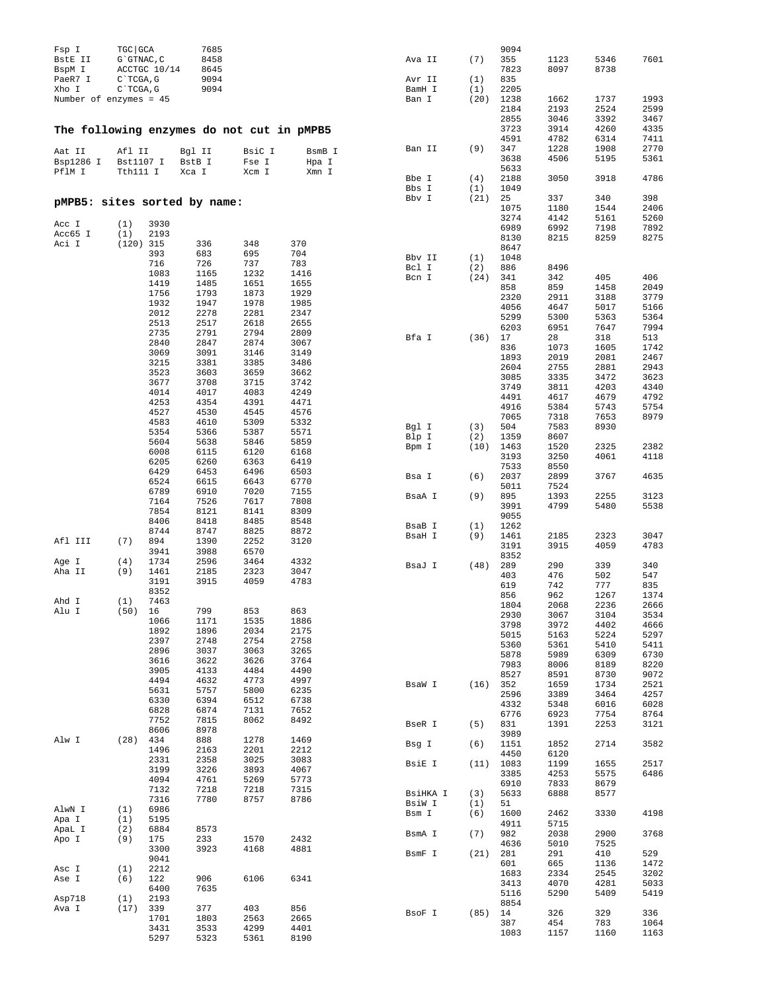| Fsp I<br>BstE II<br>BspM I<br>PaeR7 I<br>Xho I<br>Number of enzymes = 45 | TGC GCA<br>G`GTNAC, C<br>C`TCGA, G<br>C`TCGA, G | ACCTGC 10/14 | 7685<br>8458<br>8645<br>9094<br>9094 |                 |                 | Ava II<br>Avr II<br>BamH I<br>Ban I | (7)<br>(1)<br>(1)<br>(20) | 9094<br>355<br>7823<br>835<br>2205<br>1238<br>2184 | 1123<br>8097<br>1662<br>2193 | 5346<br>8738<br>1737<br>2524 | 7601<br>1993<br>2599 |
|--------------------------------------------------------------------------|-------------------------------------------------|--------------|--------------------------------------|-----------------|-----------------|-------------------------------------|---------------------------|----------------------------------------------------|------------------------------|------------------------------|----------------------|
|                                                                          |                                                 |              |                                      |                 |                 |                                     |                           | 2855<br>3723                                       | 3046<br>3914                 | 3392<br>4260                 | 3467<br>4335         |
| The following enzymes do not cut in pMPB5<br>Aat II<br>Bsp1286 I         | Afl II<br>Bst1107 I                             |              | Bgl II<br>BstB I                     | BsiC I<br>Fse I | BsmB I<br>Hpa I | Ban II                              | (9)                       | 4591<br>347<br>3638                                | 4782<br>1228<br>4506         | 6314<br>1908<br>5195         | 7411<br>2770<br>5361 |
| PflM I                                                                   | Tth111 I                                        |              | Xca I                                | Xcm I           | Xmn I           | Bbe I                               | (4)                       | 5633<br>2188                                       | 3050                         | 3918                         | 4786                 |
| pMPB5: sites sorted by name:                                             |                                                 |              |                                      |                 |                 | Bbs I<br>Bbv I                      | (1)<br>(21)               | 1049<br>25<br>1075                                 | 337<br>1180                  | 340<br>1544                  | 398<br>2406          |
| Acc I                                                                    | (1)                                             | 3930         |                                      |                 |                 |                                     |                           | 3274                                               | 4142                         | 5161                         | 5260                 |
| Acc65 I                                                                  | (1)                                             | 2193         |                                      |                 |                 |                                     |                           | 6989<br>8130                                       | 6992<br>8215                 | 7198<br>8259                 | 7892<br>8275         |
| Aci I                                                                    | $(120)$ 315                                     | 393          | 336<br>683                           | 348<br>695      | 370<br>704      |                                     |                           | 8647                                               |                              |                              |                      |
|                                                                          |                                                 | 716          | 726                                  | 737             | 783             | Bbv II<br>Bcl I                     | (1)<br>(2)                | 1048<br>886                                        | 8496                         |                              |                      |
|                                                                          |                                                 | 1083         | 1165<br>1485                         | 1232<br>1651    | 1416            | Bcn I                               | (24)                      | 341                                                | 342                          | 405                          | 406                  |
|                                                                          |                                                 | 1419<br>1756 | 1793                                 | 1873            | 1655<br>1929    |                                     |                           | 858                                                | 859                          | 1458                         | 2049                 |
|                                                                          |                                                 | 1932         | 1947                                 | 1978            | 1985            |                                     |                           | 2320<br>4056                                       | 2911<br>4647                 | 3188<br>5017                 | 3779<br>5166         |
|                                                                          |                                                 | 2012<br>2513 | 2278<br>2517                         | 2281<br>2618    | 2347<br>2655    |                                     |                           | 5299                                               | 5300                         | 5363                         | 5364                 |
|                                                                          |                                                 | 2735         | 2791                                 | 2794            | 2809            |                                     |                           | 6203                                               | 6951                         | 7647                         | 7994                 |
|                                                                          |                                                 | 2840         | 2847                                 | 2874            | 3067            | Bfa I                               | (36)                      | 17<br>836                                          | 28<br>1073                   | 318<br>1605                  | 513<br>1742          |
|                                                                          |                                                 | 3069         | 3091<br>3381                         | 3146<br>3385    | 3149<br>3486    |                                     |                           | 1893                                               | 2019                         | 2081                         | 2467                 |
|                                                                          |                                                 | 3215<br>3523 | 3603                                 | 3659            | 3662            |                                     |                           | 2604                                               | 2755                         | 2881                         | 2943                 |
|                                                                          |                                                 | 3677         | 3708                                 | 3715            | 3742            |                                     |                           | 3085<br>3749                                       | 3335<br>3811                 | 3472<br>4203                 | 3623<br>4340         |
|                                                                          |                                                 | 4014<br>4253 | 4017<br>4354                         | 4083<br>4391    | 4249<br>4471    |                                     |                           | 4491                                               | 4617                         | 4679                         | 4792                 |
|                                                                          |                                                 | 4527         | 4530                                 | 4545            | 4576            |                                     |                           | 4916<br>7065                                       | 5384<br>7318                 | 5743                         | 5754<br>8979         |
|                                                                          |                                                 | 4583         | 4610                                 | 5309            | 5332            | Bgl I                               | (3)                       | 504                                                | 7583                         | 7653<br>8930                 |                      |
|                                                                          |                                                 | 5354<br>5604 | 5366<br>5638                         | 5387<br>5846    | 5571<br>5859    | Blp I                               | (2)                       | 1359                                               | 8607                         |                              |                      |
|                                                                          |                                                 | 6008         | 6115                                 | 6120            | 6168            | Bpm I                               | (10)                      | 1463<br>3193                                       | 1520<br>3250                 | 2325<br>4061                 | 2382<br>4118         |
|                                                                          |                                                 | 6205         | 6260                                 | 6363            | 6419            |                                     |                           | 7533                                               | 8550                         |                              |                      |
|                                                                          |                                                 | 6429<br>6524 | 6453<br>6615                         | 6496<br>6643    | 6503<br>6770    | Bsa I                               | (6)                       | 2037                                               | 2899                         | 3767                         | 4635                 |
|                                                                          |                                                 | 6789         | 6910                                 | 7020            | 7155            | BsaA I                              | (9)                       | 5011<br>895                                        | 7524<br>1393                 | 2255                         | 3123                 |
|                                                                          |                                                 | 7164         | 7526                                 | 7617            | 7808            |                                     |                           | 3991                                               | 4799                         | 5480                         | 5538                 |
|                                                                          |                                                 | 7854<br>8406 | 8121<br>8418                         | 8141<br>8485    | 8309<br>8548    |                                     |                           | 9055                                               |                              |                              |                      |
|                                                                          |                                                 | 8744         | 8747                                 | 8825            | 8872            | BsaB I<br>BsaH I                    | (1)<br>(9)                | 1262<br>1461                                       | 2185                         | 2323                         | 3047                 |
| Afl III                                                                  | (7)                                             | 894          | 1390                                 | 2252            | 3120            |                                     |                           | 3191                                               | 3915                         | 4059                         | 4783                 |
| Age I                                                                    | (4)                                             | 3941<br>1734 | 3988<br>2596                         | 6570<br>3464    | 4332            |                                     |                           | 8352                                               |                              |                              |                      |
| Aha II                                                                   | (9)                                             | 1461         | 2185                                 | 2323            | 3047            | BsaJ I                              | (48)                      | 289<br>403                                         | 290<br>476                   | 339<br>502                   | 340<br>547           |
|                                                                          |                                                 | 3191         | 3915                                 | 4059            | 4783            |                                     |                           | 619                                                | 742                          | 777                          | 835                  |
| Ahd I                                                                    | (1)                                             | 8352<br>7463 |                                      |                 |                 |                                     |                           | 856                                                | 962                          | 1267                         | 1374                 |
| Alu I                                                                    | (50)                                            | 16           | 799                                  | 853             | 863             |                                     |                           | 1804<br>2930                                       | 2068<br>3067                 | 2236<br>3104                 | 2666<br>3534         |
|                                                                          |                                                 | 1066<br>1892 | 1171                                 | 1535<br>2034    | 1886<br>2175    |                                     |                           | 3798                                               | 3972                         | 4402                         | 4666                 |
|                                                                          |                                                 | 2397         | 1896<br>2748                         | 2754            | 2758            |                                     |                           | 5015                                               | 5163                         | 5224                         | 5297                 |
|                                                                          |                                                 | 2896         | 3037                                 | 3063            | 3265            |                                     |                           | 5360<br>5878                                       | 5361<br>5989                 | 5410<br>6309                 | 5411<br>6730         |
|                                                                          |                                                 | 3616<br>3905 | 3622<br>4133                         | 3626<br>4484    | 3764<br>4490    |                                     |                           | 7983                                               | 8006                         | 8189                         | 8220                 |
|                                                                          |                                                 | 4494         | 4632                                 | 4773            | 4997            | BsaW I                              | (16)                      | 8527<br>352                                        | 8591<br>1659                 | 8730<br>1734                 | 9072<br>2521         |
|                                                                          |                                                 | 5631         | 5757                                 | 5800            | 6235            |                                     |                           | 2596                                               | 3389                         | 3464                         | 4257                 |
|                                                                          |                                                 | 6330<br>6828 | 6394<br>6874                         | 6512<br>7131    | 6738<br>7652    |                                     |                           | 4332                                               | 5348                         | 6016                         | 6028                 |
|                                                                          |                                                 | 7752         | 7815                                 | 8062            | 8492            | BseR I                              | (5)                       | 6776<br>831                                        | 6923<br>1391                 | 7754<br>2253                 | 8764<br>3121         |
|                                                                          |                                                 | 8606         | 8978                                 |                 |                 |                                     |                           | 3989                                               |                              |                              |                      |
| Alw I                                                                    | (28)                                            | 434<br>1496  | 888<br>2163                          | 1278<br>2201    | 1469<br>2212    | Bsg I                               | (6)                       | 1151                                               | 1852                         | 2714                         | 3582                 |
|                                                                          |                                                 | 2331         | 2358                                 | 3025            | 3083            | BsiE I                              | (11)                      | 4450<br>1083                                       | 6120<br>1199                 | 1655                         | 2517                 |
|                                                                          |                                                 | 3199         | 3226                                 | 3893            | 4067            |                                     |                           | 3385                                               | 4253                         | 5575                         | 6486                 |
|                                                                          |                                                 | 4094<br>7132 | 4761<br>7218                         | 5269<br>7218    | 5773<br>7315    |                                     |                           | 6910                                               | 7833                         | 8679                         |                      |
|                                                                          |                                                 | 7316         | 7780                                 | 8757            | 8786            | BsiHKA I<br>BsiW I                  | (3)<br>(1)                | 5633<br>51                                         | 6888                         | 8577                         |                      |
| AlwN I                                                                   | (1)                                             | 6986         |                                      |                 |                 | Bsm I                               | (6)                       | 1600                                               | 2462                         | 3330                         | 4198                 |
| Apa I<br>ApaL I                                                          | (1)<br>(2)                                      | 5195<br>6884 | 8573                                 |                 |                 |                                     |                           | 4911                                               | 5715                         |                              |                      |
| Apo I                                                                    | (9)                                             | 175          | 233                                  | 1570            | 2432            | BsmA I                              | (7)                       | 982<br>4636                                        | 2038<br>5010                 | 2900<br>7525                 | 3768                 |
|                                                                          |                                                 | 3300         | 3923                                 | 4168            | 4881            | BsmF I                              | (21)                      | 281                                                | 291                          | 410                          | 529                  |
| Asc I                                                                    | (1)                                             | 9041<br>2212 |                                      |                 |                 |                                     |                           | 601                                                | 665                          | 1136                         | 1472                 |
| Ase I                                                                    | (6)                                             | 122          | 906                                  | 6106            | 6341            |                                     |                           | 1683<br>3413                                       | 2334<br>4070                 | 2545<br>4281                 | 3202<br>5033         |
|                                                                          |                                                 | 6400         | 7635                                 |                 |                 |                                     |                           | 5116                                               | 5290                         | 5409                         | 5419                 |
| Asp718<br>Ava I                                                          | (1)<br>(17)                                     | 2193<br>339  | 377                                  | 403             | 856             |                                     |                           | 8854                                               |                              |                              |                      |
|                                                                          |                                                 | 1701         | 1803                                 | 2563            | 2665            | BsoF I                              | (85)                      | 14<br>387                                          | 326<br>454                   | 329<br>783                   | 336<br>1064          |
|                                                                          |                                                 | 3431<br>5297 | 3533<br>5323                         | 4299<br>5361    | 4401<br>8190    |                                     |                           | 1083                                               | 1157                         | 1160                         | 1163                 |
|                                                                          |                                                 |              |                                      |                 |                 |                                     |                           |                                                    |                              |                              |                      |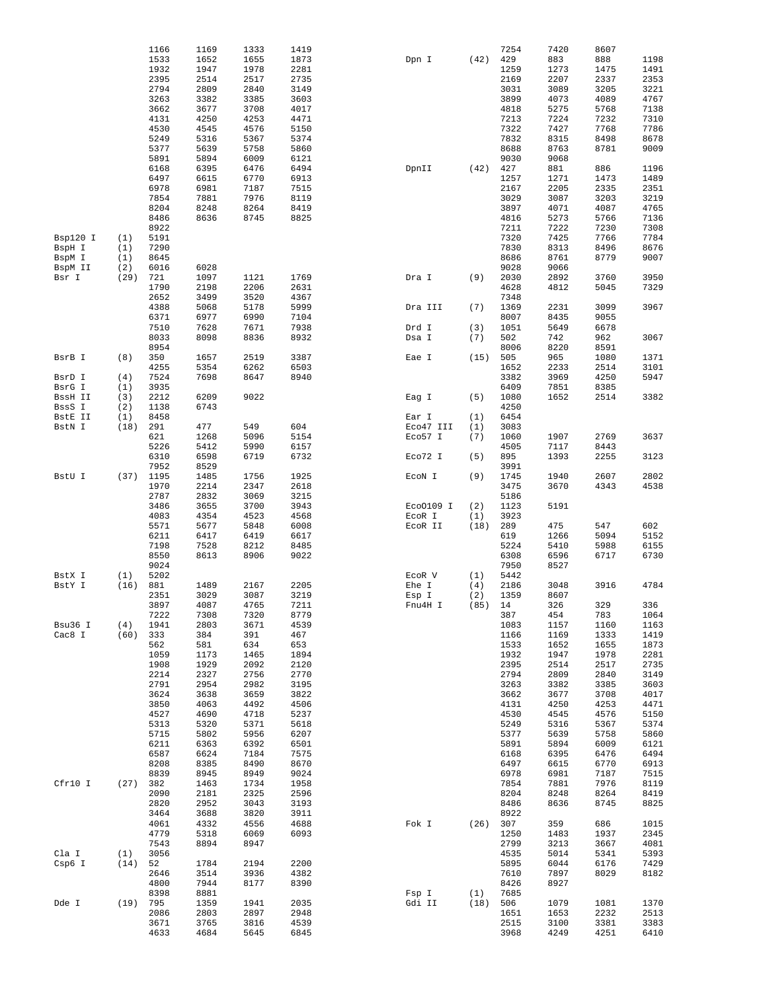|                  |             | 1166         | 1169         | 1333 | 1419 |           |      | 7254         | 7420         | 8607         |              |
|------------------|-------------|--------------|--------------|------|------|-----------|------|--------------|--------------|--------------|--------------|
|                  |             | 1533         | 1652         | 1655 | 1873 | Dpn I     | (42) | 429          | 883          | 888          | 1198         |
|                  |             | 1932         | 1947         | 1978 | 2281 |           |      | 1259         | 1273         | 1475         | 1491         |
|                  |             | 2395         | 2514         | 2517 | 2735 |           |      | 2169         | 2207         | 2337         | 2353         |
|                  |             | 2794         | 2809         | 2840 | 3149 |           |      | 3031         | 3089         | 3205         | 3221         |
|                  |             | 3263         | 3382         | 3385 | 3603 |           |      | 3899         | 4073         | 4089         | 4767         |
|                  |             | 3662         | 3677         | 3708 | 4017 |           |      | 4818         | 5275         | 5768         | 7138         |
|                  |             | 4131         | 4250         | 4253 | 4471 |           |      | 7213         | 7224         | 7232         | 7310         |
|                  |             | 4530         | 4545         | 4576 | 5150 |           |      | 7322         | 7427         | 7768         | 7786         |
|                  |             | 5249         | 5316         | 5367 | 5374 |           |      | 7832         | 8315         | 8498         | 8678         |
|                  |             | 5377         | 5639         | 5758 | 5860 |           |      | 8688         | 8763         | 8781         | 9009         |
|                  |             | 5891         | 5894         | 6009 | 6121 |           |      | 9030         | 9068         |              |              |
|                  |             | 6168         | 6395         | 6476 | 6494 | DpnII     | (42) | 427          | 881          | 886          | 1196         |
|                  |             | 6497         | 6615         | 6770 | 6913 |           |      | 1257         | 1271         | 1473         | 1489         |
|                  |             | 6978         | 6981         | 7187 | 7515 |           |      | 2167         | 2205         | 2335         | 2351         |
|                  |             | 7854         | 7881         | 7976 | 8119 |           |      | 3029         | 3087         | 3203         | 3219         |
|                  |             | 8204         | 8248         | 8264 | 8419 |           |      | 3897         | 4071         | 4087         | 4765         |
|                  |             | 8486         | 8636         | 8745 | 8825 |           |      | 4816         | 5273         | 5766         | 7136         |
|                  |             | 8922         |              |      |      |           |      | 7211         | 7222         | 7230         | 7308         |
| Bsp120 I         | (1)         | 5191<br>7290 |              |      |      |           |      | 7320<br>7830 | 7425<br>8313 | 7766<br>8496 | 7784         |
| BspH I           | (1)         |              |              |      |      |           |      | 8686         | 8761         | 8779         | 8676         |
| BspM I           | (1)         | 8645         |              |      |      |           |      | 9028         | 9066         |              | 9007         |
| BspM II<br>Bsr I | (2)<br>(29) | 6016<br>721  | 6028<br>1097 | 1121 | 1769 | Dra I     | (9)  | 2030         | 2892         | 3760         | 3950         |
|                  |             | 1790         | 2198         | 2206 | 2631 |           |      | 4628         | 4812         | 5045         | 7329         |
|                  |             | 2652         | 3499         | 3520 | 4367 |           |      | 7348         |              |              |              |
|                  |             | 4388         | 5068         | 5178 | 5999 | Dra III   | (7)  | 1369         | 2231         | 3099         | 3967         |
|                  |             | 6371         | 6977         | 6990 | 7104 |           |      | 8007         | 8435         | 9055         |              |
|                  |             | 7510         | 7628         | 7671 | 7938 | Drd I     | (3)  | 1051         | 5649         | 6678         |              |
|                  |             | 8033         | 8098         | 8836 | 8932 | Dsa I     | (7)  | 502          | 742          | 962          | 3067         |
|                  |             | 8954         |              |      |      |           |      | 8006         | 8220         | 8591         |              |
| BsrB I           | (8)         | 350          | 1657         | 2519 | 3387 | Eae I     | (15) | 505          | 965          | 1080         | 1371         |
|                  |             | 4255         | 5354         | 6262 | 6503 |           |      | 1652         | 2233         | 2514         | 3101         |
| BsrD I           | (4)         | 7524         | 7698         | 8647 | 8940 |           |      | 3382         | 3969         | 4250         | 5947         |
| BsrG I           | (1)         | 3935         |              |      |      |           |      | 6409         | 7851         | 8385         |              |
| BssH II          | (3)         | 2212         | 6209         | 9022 |      | Eag I     | (5)  | 1080         | 1652         | 2514         | 3382         |
| BssS I           | (2)         | 1138         | 6743         |      |      |           |      | 4250         |              |              |              |
| BstE II          | (1)         | 8458         |              |      |      | Ear I     | (1)  | 6454         |              |              |              |
| BstN I           | (18)        | 291          | 477          | 549  | 604  | Eco47 III | (1)  | 3083         |              |              |              |
|                  |             | 621          | 1268         | 5096 | 5154 | Eco57 I   | (7)  | 1060         | 1907         | 2769         | 3637         |
|                  |             | 5226         | 5412         | 5990 | 6157 |           |      | 4505         | 7117         | 8443         |              |
|                  |             | 6310         | 6598         | 6719 | 6732 | Eco72 I   | (5)  | 895          | 1393         | 2255         | 3123         |
|                  |             | 7952         | 8529         |      |      |           |      | 3991         |              |              |              |
| BstU I           | (37)        | 1195         | 1485         | 1756 | 1925 | ECON I    | (9)  | 1745         | 1940         | 2607         | 2802         |
|                  |             | 1970         | 2214         | 2347 | 2618 |           |      | 3475         | 3670         | 4343         | 4538         |
|                  |             | 2787         | 2832         | 3069 | 3215 |           |      | 5186         |              |              |              |
|                  |             | 3486         | 3655         | 3700 | 3943 | Eco0109 I | (2)  | 1123         | 5191         |              |              |
|                  |             | 4083         | 4354         | 4523 | 4568 | ECOR I    | (1)  | 3923         |              |              |              |
|                  |             | 5571         | 5677         | 5848 | 6008 | ECOR II   | (18) | 289          | 475          | 547          | 602          |
|                  |             | 6211         | 6417         | 6419 | 6617 |           |      | 619          | 1266         | 5094         | 5152         |
|                  |             | 7198         | 7528         | 8212 | 8485 |           |      | 5224         | 5410         | 5988         | 6155         |
|                  |             | 8550         | 8613         | 8906 | 9022 |           |      | 6308         | 6596         | 6717         | 6730         |
|                  |             | 9024         |              |      |      |           |      | 7950         | 8527         |              |              |
| BstX I           | (1)         | 5202         |              |      |      | ECOR V    | (1)  | 5442         |              |              |              |
| BstY I           | (16)        | 881          | 1489         | 2167 | 2205 | Ehe I     | (4)  | 2186         | 3048         | 3916         | 4784         |
|                  |             | 2351         | 3029         | 3087 | 3219 | Esp I     | (2)  | 1359         | 8607         |              |              |
|                  |             | 3897         | 4087         | 4765 | 7211 | Fnu4H I   |      | $(85)$ 14    | 326          | 329          | 336          |
|                  |             | 7222         | 7308         | 7320 | 8779 |           |      | 387          | 454          | 783          | 1064         |
| Bsu36 I          | (4)         | 1941         | 2803         | 3671 | 4539 |           |      | 1083         | 1157         | 1160         | 1163         |
| Cac8 I           | (60)        | 333          | 384          | 391  | 467  |           |      | 1166         | 1169         | 1333         | 1419         |
|                  |             | 562          | 581          | 634  | 653  |           |      | 1533         | 1652         | 1655         | 1873         |
|                  |             | 1059         | 1173         | 1465 | 1894 |           |      | 1932         | 1947         | 1978         | 2281         |
|                  |             | 1908         | 1929         | 2092 | 2120 |           |      | 2395         | 2514         | 2517         | 2735         |
|                  |             | 2214         | 2327         | 2756 | 2770 |           |      | 2794         | 2809         | 2840         | 3149         |
|                  |             | 2791         | 2954         | 2982 | 3195 |           |      | 3263         | 3382         | 3385         | 3603         |
|                  |             | 3624         | 3638         | 3659 | 3822 |           |      | 3662         | 3677         | 3708         | 4017         |
|                  |             | 3850         | 4063         | 4492 | 4506 |           |      | 4131         | 4250         | 4253         | 4471         |
|                  |             | 4527         | 4690         | 4718 | 5237 |           |      | 4530         | 4545         | 4576         | 5150         |
|                  |             | 5313         | 5320         | 5371 | 5618 |           |      | 5249         | 5316         | 5367         | 5374         |
|                  |             | 5715         | 5802         | 5956 | 6207 |           |      | 5377         | 5639         | 5758         | 5860         |
|                  |             | 6211         | 6363         | 6392 | 6501 |           |      | 5891         | 5894         | 6009         | 6121         |
|                  |             | 6587         | 6624         | 7184 | 7575 |           |      | 6168         | 6395         | 6476         | 6494         |
|                  |             | 8208         | 8385         | 8490 | 8670 |           |      | 6497         | 6615         | 6770         | 6913         |
|                  |             | 8839         | 8945         | 8949 | 9024 |           |      | 6978         | 6981         | 7187         | 7515         |
| Cfr10 I          | (27)        | 382          | 1463         | 1734 | 1958 |           |      | 7854         | 7881         | 7976         | 8119         |
|                  |             | 2090         | 2181         | 2325 | 2596 |           |      | 8204         | 8248         | 8264         | 8419         |
|                  |             | 2820         | 2952         | 3043 | 3193 |           |      | 8486         | 8636         | 8745         | 8825         |
|                  |             | 3464         | 3688         | 3820 | 3911 |           |      | 8922         |              |              |              |
|                  |             | 4061         | 4332         | 4556 | 4688 | Fok I     | (26) | 307          | 359          | 686          | 1015         |
|                  |             | 4779         | 5318         | 6069 | 6093 |           |      | 1250         | 1483         | 1937         | 2345         |
|                  |             | 7543         | 8894         | 8947 |      |           |      | 2799         | 3213         | 3667         | 4081         |
| Cla I<br>Csp6 I  | (1)<br>(14) | 3056<br>52   | 1784         | 2194 | 2200 |           |      | 4535<br>5895 | 5014<br>6044 | 5341<br>6176 | 5393<br>7429 |
|                  |             | 2646         | 3514         | 3936 | 4382 |           |      | 7610         | 7897         | 8029         | 8182         |
|                  |             | 4800         | 7944         | 8177 | 8390 |           |      | 8426         | 8927         |              |              |
|                  |             | 8398         | 8881         |      |      | Fsp I     | (1)  | 7685         |              |              |              |
| Dde I            | (19)        | 795          | 1359         | 1941 | 2035 | Gdi II    | (18) | 506          | 1079         | 1081         | 1370         |
|                  |             | 2086         | 2803         | 2897 | 2948 |           |      | 1651         | 1653         | 2232         | 2513         |
|                  |             | 3671         | 3765         | 3816 | 4539 |           |      | 2515         | 3100         | 3381         | 3383         |
|                  |             | 4633         | 4684         | 5645 | 6845 |           |      | 3968         | 4249         | 4251         | 6410         |
|                  |             |              |              |      |      |           |      |              |              |              |              |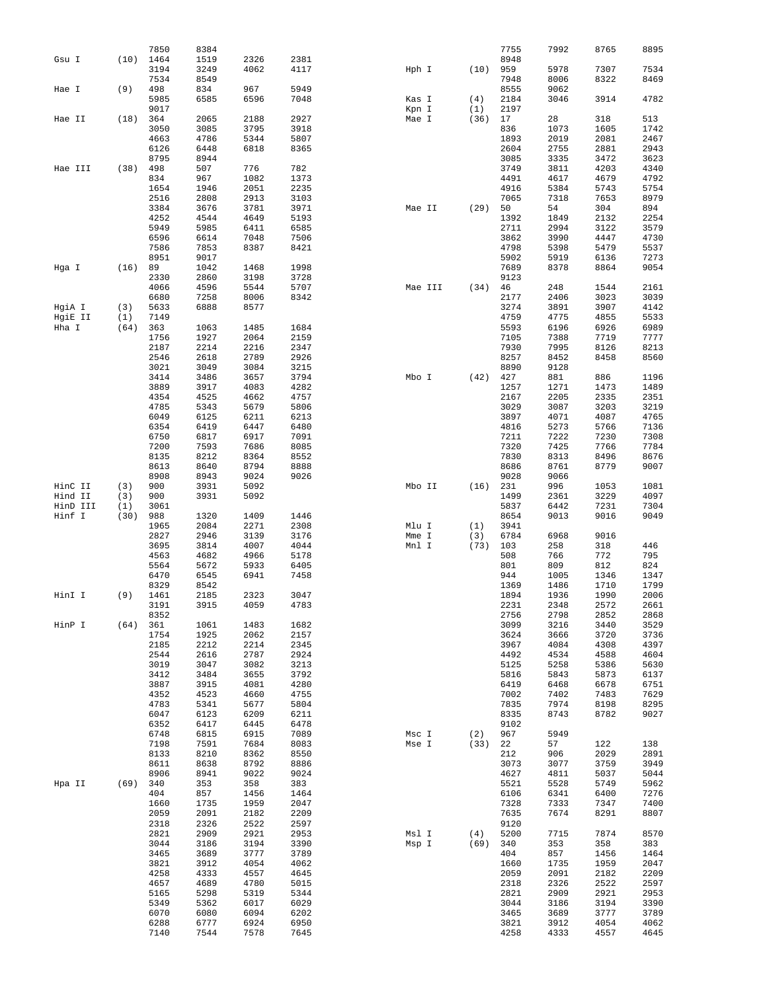|                     |            | 7850         | 8384         |              |              |        |             |          | 7755         | 7992         | 8765         | 8895         |
|---------------------|------------|--------------|--------------|--------------|--------------|--------|-------------|----------|--------------|--------------|--------------|--------------|
| Gsu I               | (10)       | 1464         | 1519         | 2326         | 2381         |        |             |          | 8948         |              |              |              |
|                     |            | 3194         | 3249         | 4062         | 4117         | Hph I  |             | (10)     | 959          | 5978         | 7307         | 7534         |
|                     |            | 7534         | 8549         |              |              |        |             |          | 7948         | 8006         | 8322         | 8469         |
| Hae I               | (9)        | 498          | 834          | 967          | 5949         |        |             |          | 8555         | 9062         |              |              |
|                     |            | 5985         | 6585         | 6596         | 7048         | Kas I  |             | (4)      | 2184         | 3046         | 3914         | 4782         |
|                     |            | 9017         |              |              |              | Kpn I  |             | (1)      | 2197         |              |              |              |
| Hae II              | (18)       | 364          | 2065         | 2188         | 2927         | Mae I  |             | (36)     | 17           | 28           | 318          | 513          |
|                     |            | 3050         | 3085         | 3795         | 3918         |        |             |          | 836          | 1073         | 1605         | 1742         |
|                     |            | 4663         | 4786         | 5344         | 5807         |        |             |          | 1893         | 2019         | 2081         | 2467         |
|                     |            | 6126         | 6448         | 6818         | 8365         |        |             |          | 2604         | 2755         | 2881         | 2943         |
|                     | (38)       | 8795<br>498  | 8944<br>507  | 776          | 782          |        |             |          | 3085<br>3749 | 3335         | 3472<br>4203 | 3623         |
| Hae III             |            | 834          | 967          | 1082         | 1373         |        |             |          | 4491         | 3811<br>4617 | 4679         | 4340<br>4792 |
|                     |            | 1654         | 1946         | 2051         | 2235         |        |             |          | 4916         | 5384         | 5743         | 5754         |
|                     |            | 2516         | 2808         | 2913         | 3103         |        |             |          | 7065         | 7318         | 7653         | 8979         |
|                     |            | 3384         | 3676         | 3781         | 3971         | Mae II |             | (29)     | 50           | 54           | 304          | 894          |
|                     |            | 4252         | 4544         | 4649         | 5193         |        |             |          | 1392         | 1849         | 2132         | 2254         |
|                     |            | 5949         | 5985         | 6411         | 6585         |        |             |          | 2711         | 2994         | 3122         | 3579         |
|                     |            | 6596         | 6614         | 7048         | 7506         |        |             |          | 3862         | 3990         | 4447         | 4730         |
|                     |            | 7586         | 7853         | 8387         | 8421         |        |             |          | 4798         | 5398         | 5479         | 5537         |
|                     |            | 8951         | 9017         |              |              |        |             |          | 5902         | 5919         | 6136         | 7273         |
| Hga I               | (16)       | 89           | 1042         | 1468         | 1998         |        |             |          | 7689         | 8378         | 8864         | 9054         |
|                     |            | 2330         | 2860         | 3198         | 3728         |        |             |          | 9123         |              |              |              |
|                     |            | 4066         | 4596         | 5544         | 5707         |        | Mae III     | (34)     | 46           | 248          | 1544         | 2161         |
|                     |            | 6680         | 7258         | 8006         | 8342         |        |             |          | 2177         | 2406         | 3023         | 3039         |
| HgiA I              | (3)        | 5633         | 6888         | 8577         |              |        |             |          | 3274         | 3891         | 3907         | 4142         |
| HgiE II             | (1)        | 7149         |              |              |              |        |             |          | 4759         | 4775         | 4855         | 5533         |
| Hha I               | (64)       | 363<br>1756  | 1063<br>1927 | 1485<br>2064 | 1684<br>2159 |        |             |          | 5593<br>7105 | 6196<br>7388 | 6926<br>7719 | 6989<br>7777 |
|                     |            | 2187         | 2214         | 2216         | 2347         |        |             |          | 7930         | 7995         | 8126         | 8213         |
|                     |            | 2546         | 2618         | 2789         | 2926         |        |             |          | 8257         | 8452         | 8458         | 8560         |
|                     |            | 3021         | 3049         | 3084         | 3215         |        |             |          | 8890         | 9128         |              |              |
|                     |            | 3414         | 3486         | 3657         | 3794         | Mbo I  |             | (42)     | 427          | 881          | 886          | 1196         |
|                     |            | 3889         | 3917         | 4083         | 4282         |        |             |          | 1257         | 1271         | 1473         | 1489         |
|                     |            | 4354         | 4525         | 4662         | 4757         |        |             |          | 2167         | 2205         | 2335         | 2351         |
|                     |            | 4785         | 5343         | 5679         | 5806         |        |             |          | 3029         | 3087         | 3203         | 3219         |
|                     |            | 6049         | 6125         | 6211         | 6213         |        |             |          | 3897         | 4071         | 4087         | 4765         |
|                     |            | 6354         | 6419         | 6447         | 6480         |        |             |          | 4816         | 5273         | 5766         | 7136         |
|                     |            | 6750         | 6817         | 6917         | 7091         |        |             |          | 7211         | 7222         | 7230         | 7308         |
|                     |            | 7200         | 7593         | 7686         | 8085         |        |             |          | 7320         | 7425         | 7766         | 7784         |
|                     |            | 8135         | 8212         | 8364         | 8552         |        |             |          | 7830         | 8313         | 8496         | 8676         |
|                     |            | 8613         | 8640         | 8794         | 8888         |        |             |          | 8686         | 8761         | 8779         | 9007         |
|                     |            | 8908         | 8943         | 9024         | 9026         |        |             |          | 9028         | 9066         |              |              |
| HinC II             | (3)        | 900          | 3931         | 5092         |              | Mbo II |             | (16)     | 231          | 996          | 1053         | 1081         |
| Hind II<br>HinD III | (3)<br>(1) | 900<br>3061  | 3931         | 5092         |              |        |             |          | 1499<br>5837 | 2361<br>6442 | 3229<br>7231 | 4097<br>7304 |
| Hinf I              | (30)       | 988          | 1320         | 1409         | 1446         |        |             |          | 8654         | 9013         | 9016         | 9049         |
|                     |            | 1965         | 2084         | 2271         | 2308         | Mlu I  |             | (1)      | 3941         |              |              |              |
|                     |            | 2827         | 2946         | 3139         | 3176         | Mme I  |             | (3)      | 6784         | 6968         | 9016         |              |
|                     |            | 3695         | 3814         | 4007         | 4044         | Mnl I  |             | (73)     | 103          | 258          | 318          | 446          |
|                     |            | 4563         | 4682         | 4966         | 5178         |        |             |          | 508          | 766          | 772          | 795          |
|                     |            | 5564         | 5672         | 5933         | 6405         |        |             |          | 801          | 809          | 812          | 824          |
|                     |            | 6470         | 6545         | 6941         | 7458         |        |             |          | 944          | 1005         | 1346         | 1347         |
|                     |            | 8329         | 8542         |              |              |        |             |          | 1369         | 1486         | 1710         | 1799         |
| HinI I              | (9)        | 1461         | 2185         | 2323         | 3047         |        |             |          | 1894         | 1936         | 1990         | 2006         |
|                     |            | 3191         | 3915         | 4059         | 4783         |        |             |          | 2231         | 2348         | 2572         | 2661         |
|                     |            | 8352         |              |              |              |        |             |          | 2756         | 2798         | 2852         | 2868         |
| HinP I              | (64) 361   |              | 1061         | 1483         | 1682         |        |             |          | 3099         | 3216         | 3440         | 3529         |
|                     |            | 1754         | 1925         | 2062         | 2157         |        |             |          | 3624         | 3666         | 3720         | 3736         |
|                     |            | 2185         | 2212         | 2214         | 2345         |        |             |          | 3967         | 4084         | 4308         | 4397         |
|                     |            | 2544<br>3019 | 2616<br>3047 | 2787<br>3082 | 2924<br>3213 |        |             |          | 4492<br>5125 | 4534<br>5258 | 4588<br>5386 | 4604<br>5630 |
|                     |            | 3412         | 3484         | 3655         | 3792         |        |             |          | 5816         | 5843         | 5873         | 6137         |
|                     |            | 3887         | 3915         | 4081         | 4280         |        |             |          | 6419         | 6468         | 6678         | 6751         |
|                     |            | 4352         | 4523         | 4660         | 4755         |        |             |          | 7002         | 7402         | 7483         | 7629         |
|                     |            | 4783         | 5341         | 5677         | 5804         |        |             |          | 7835         | 7974         | 8198         | 8295         |
|                     |            | 6047         | 6123         | 6209         | 6211         |        |             |          | 8335         | 8743         | 8782         | 9027         |
|                     |            | 6352         | 6417         | 6445         | 6478         |        |             |          | 9102         |              |              |              |
|                     |            | 6748         | 6815         | 6915         | 7089         |        | $Msc I$ (2) |          | 967          | 5949         |              |              |
|                     |            | 7198         | 7591         | 7684         | 8083         | Mse I  |             | (33)     | 22           | 57           | 122          | 138          |
|                     |            | 8133         | 8210         | 8362         | 8550         |        |             |          | 212          | 906          | 2029         | 2891         |
|                     |            | 8611         | 8638         | 8792         | 8886         |        |             |          | 3073         | 3077         | 3759         | 3949         |
|                     |            | 8906         | 8941         | 9022         | 9024         |        |             |          | 4627         | 4811         | 5037         | 5044         |
| Hpa II              | (69) 340   |              | 353          | 358          | 383          |        |             |          | 5521         | 5528         | 5749         | 5962         |
|                     |            | 404<br>1660  | 857<br>1735  | 1456<br>1959 | 1464<br>2047 |        |             |          | 6106<br>7328 | 6341<br>7333 | 6400<br>7347 | 7276<br>7400 |
|                     |            | 2059         | 2091         | 2182         | 2209         |        |             |          | 7635         | 7674         | 8291         | 8807         |
|                     |            | 2318         | 2326         | 2522         | 2597         |        |             |          | 9120         |              |              |              |
|                     |            | 2821         | 2909         | 2921         | 2953         | Msl I  |             | $(4)$    | 5200         | 7715         | 7874         | 8570         |
|                     |            | 3044         | 3186         | 3194         | 3390         | Msp I  |             | (69) 340 |              | 353          | 358          | 383          |
|                     |            | 3465         | 3689         | 3777         | 3789         |        |             |          | 404          | 857          | 1456         | 1464         |
|                     |            | 3821         | 3912         | 4054         | 4062         |        |             |          | 1660         | 1735         | 1959         | 2047         |
|                     |            | 4258         | 4333         | 4557         | 4645         |        |             |          | 2059         | 2091         | 2182         | 2209         |
|                     |            | 4657         | 4689         | 4780         | 5015         |        |             |          | 2318         | 2326         | 2522         | 2597         |
|                     |            | 5165         | 5298         | 5319         | 5344         |        |             |          | 2821         | 2909         | 2921         | 2953         |
|                     |            | 5349         | 5362         | 6017         | 6029         |        |             |          | 3044         | 3186         | 3194         | 3390         |
|                     |            |              |              |              |              |        |             |          |              |              |              |              |
|                     |            | 6070         | 6080         | 6094         | 6202         |        |             |          | 3465         | 3689         | 3777         | 3789         |
|                     |            | 6288<br>7140 | 6777<br>7544 | 6924<br>7578 | 6950<br>7645 |        |             |          | 3821<br>4258 | 3912<br>4333 | 4054<br>4557 | 4062<br>4645 |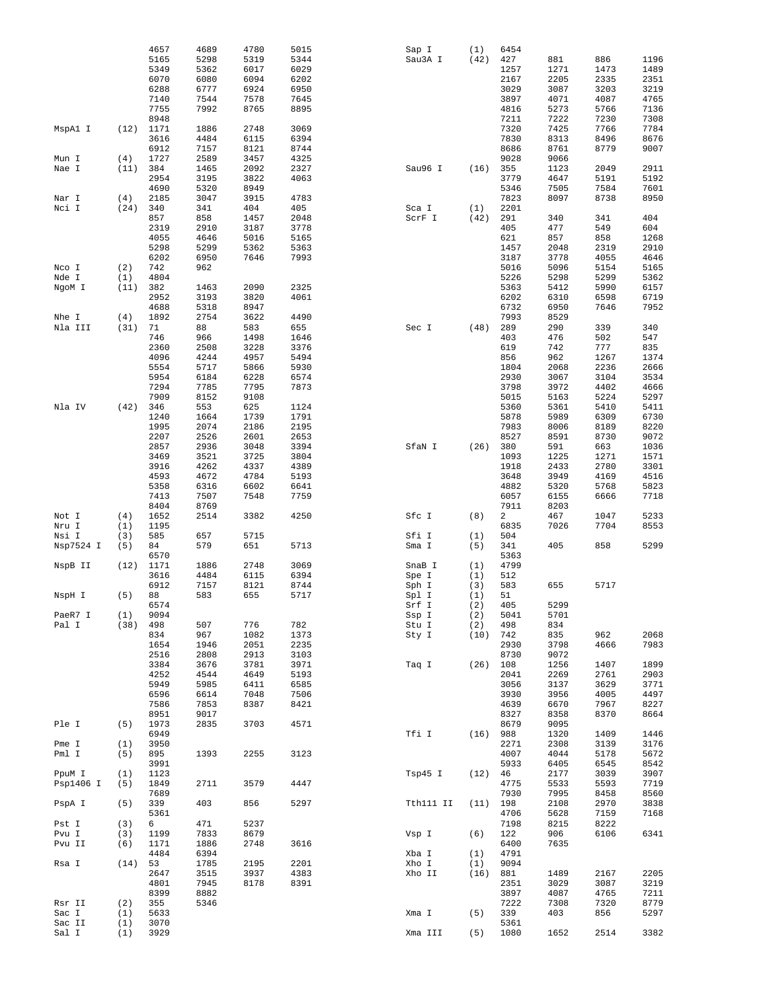|                 |            | 4657         | 4689 | 4780 | 5015 | Sap I     | (1)  | 6454         |      |      |      |
|-----------------|------------|--------------|------|------|------|-----------|------|--------------|------|------|------|
|                 |            | 5165         | 5298 | 5319 | 5344 | Sau3A I   | (42) | 427          | 881  | 886  | 1196 |
|                 |            | 5349         | 5362 | 6017 | 6029 |           |      | 1257         | 1271 | 1473 | 1489 |
|                 |            | 6070         | 6080 | 6094 | 6202 |           |      | 2167         | 2205 | 2335 | 2351 |
|                 |            | 6288         |      |      |      |           |      |              |      |      |      |
|                 |            |              | 6777 | 6924 | 6950 |           |      | 3029         | 3087 | 3203 | 3219 |
|                 |            | 7140         | 7544 | 7578 | 7645 |           |      | 3897         | 4071 | 4087 | 4765 |
|                 |            | 7755         | 7992 | 8765 | 8895 |           |      | 4816         | 5273 | 5766 | 7136 |
|                 |            | 8948         |      |      |      |           |      | 7211         | 7222 | 7230 | 7308 |
| MspA1 I         | (12)       | 1171         | 1886 | 2748 | 3069 |           |      | 7320         | 7425 | 7766 | 7784 |
|                 |            | 3616         | 4484 | 6115 | 6394 |           |      | 7830         | 8313 | 8496 | 8676 |
|                 |            | 6912         | 7157 | 8121 | 8744 |           |      | 8686         | 8761 | 8779 | 9007 |
|                 |            |              |      |      |      |           |      |              |      |      |      |
| Mun I           | (4)        | 1727         | 2589 | 3457 | 4325 |           |      | 9028         | 9066 |      |      |
| Nae I           | (11)       | 384          | 1465 | 2092 | 2327 | Sau96 I   | (16) | 355          | 1123 | 2049 | 2911 |
|                 |            | 2954         | 3195 | 3822 | 4063 |           |      | 3779         | 4647 | 5191 | 5192 |
|                 |            | 4690         | 5320 | 8949 |      |           |      | 5346         | 7505 | 7584 | 7601 |
| Nar I           | (4)        | 2185         | 3047 | 3915 | 4783 |           |      | 7823         | 8097 | 8738 | 8950 |
| Nci I           | (24)       | 340          | 341  | 404  | 405  | Sca I     | (1)  | 2201         |      |      |      |
|                 |            |              |      |      |      |           |      |              |      |      |      |
|                 |            | 857          | 858  | 1457 | 2048 | ScrF I    | (42) | 291          | 340  | 341  | 404  |
|                 |            | 2319         | 2910 | 3187 | 3778 |           |      | 405          | 477  | 549  | 604  |
|                 |            | 4055         | 4646 | 5016 | 5165 |           |      | 621          | 857  | 858  | 1268 |
|                 |            | 5298         | 5299 | 5362 | 5363 |           |      | 1457         | 2048 | 2319 | 2910 |
|                 |            | 6202         | 6950 | 7646 | 7993 |           |      | 3187         | 3778 | 4055 | 4646 |
| Nco I           | (2)        | 742          | 962  |      |      |           |      | 5016         | 5096 | 5154 | 5165 |
| Nde I           | (1)        | 4804         |      |      |      |           |      | 5226         | 5298 | 5299 | 5362 |
| NgoM I          | (11)       | 382          | 1463 | 2090 | 2325 |           |      | 5363         | 5412 | 5990 | 6157 |
|                 |            |              |      |      |      |           |      |              |      |      |      |
|                 |            | 2952         | 3193 | 3820 | 4061 |           |      | 6202         | 6310 | 6598 | 6719 |
|                 |            | 4688         | 5318 | 8947 |      |           |      | 6732         | 6950 | 7646 | 7952 |
| Nhe I           | (4)        | 1892         | 2754 | 3622 | 4490 |           |      | 7993         | 8529 |      |      |
| Nla III         | (31)       | 71           | 88   | 583  | 655  | Sec I     | (48) | 289          | 290  | 339  | 340  |
|                 |            | 746          | 966  | 1498 | 1646 |           |      | 403          | 476  | 502  | 547  |
|                 |            | 2360         | 2508 | 3228 | 3376 |           |      | 619          | 742  | 777  | 835  |
|                 |            | 4096         | 4244 | 4957 | 5494 |           |      | 856          | 962  | 1267 | 1374 |
|                 |            |              |      |      |      |           |      |              |      |      |      |
|                 |            | 5554         | 5717 | 5866 | 5930 |           |      | 1804         | 2068 | 2236 | 2666 |
|                 |            | 5954         | 6184 | 6228 | 6574 |           |      | 2930         | 3067 | 3104 | 3534 |
|                 |            | 7294         | 7785 | 7795 | 7873 |           |      | 3798         | 3972 | 4402 | 4666 |
|                 |            | 7909         | 8152 | 9108 |      |           |      | 5015         | 5163 | 5224 | 5297 |
| Nla IV          | (42)       | 346          | 553  | 625  | 1124 |           |      | 5360         | 5361 | 5410 | 5411 |
|                 |            | 1240         | 1664 | 1739 | 1791 |           |      | 5878         | 5989 | 6309 | 6730 |
|                 |            | 1995         | 2074 | 2186 | 2195 |           |      | 7983         | 8006 | 8189 | 8220 |
|                 |            |              |      |      |      |           |      |              |      |      |      |
|                 |            | 2207         | 2526 | 2601 | 2653 |           |      | 8527         | 8591 | 8730 | 9072 |
|                 |            | 2857         | 2936 | 3048 | 3394 | SfaN I    | (26) | 380          | 591  | 663  | 1036 |
|                 |            | 3469         | 3521 | 3725 | 3804 |           |      | 1093         | 1225 | 1271 | 1571 |
|                 |            | 3916         | 4262 | 4337 | 4389 |           |      | 1918         | 2433 | 2780 | 3301 |
|                 |            | 4593         | 4672 | 4784 | 5193 |           |      | 3648         | 3949 | 4169 | 4516 |
|                 |            | 5358         | 6316 | 6602 | 6641 |           |      | 4882         | 5320 | 5768 | 5823 |
|                 |            | 7413         | 7507 | 7548 | 7759 |           |      | 6057         | 6155 | 6666 | 7718 |
|                 |            |              |      |      |      |           |      |              |      |      |      |
|                 |            | 8404         | 8769 |      |      |           |      | 7911         | 8203 |      |      |
| Not I           | (4)        | 1652         | 2514 | 3382 | 4250 | Sfc I     | (8)  | 2            | 467  | 1047 | 5233 |
| Nru I           | (1)        | 1195         |      |      |      |           |      | 6835         | 7026 | 7704 | 8553 |
| Nsi I           | (3)        | 585          | 657  | 5715 |      | Sfi I     | (1)  | 504          |      |      |      |
| Nsp7524 I       | (5)        | 84           | 579  | 651  | 5713 | Sma I     | (5)  | 341          | 405  | 858  | 5299 |
|                 |            | 6570         |      |      |      |           |      | 5363         |      |      |      |
|                 | (12)       | 1171         | 1886 | 2748 | 3069 | SnaB I    | (1)  | 4799         |      |      |      |
|                 |            | 3616         | 4484 | 6115 | 6394 |           |      | 512          |      |      |      |
| NspB II         |            |              |      |      |      | Spe I     | (1)  |              |      |      |      |
|                 |            |              |      |      | 8744 | Sph I     | (3)  | 583          | 655  | 5717 |      |
|                 |            | 6912         | 7157 | 8121 |      |           | (1)  | 51           |      |      |      |
| NspH I          | (5)        | 88           | 583  | 655  | 5717 | Spl I     |      |              |      |      |      |
|                 |            | 6574         |      |      |      | Srf I     | (2)  | 405          | 5299 |      |      |
| PaeR7 I         | (1)        | 9094         |      |      |      | Ssp I     | (2)  | 5041         | 5701 |      |      |
| Pal I           | (38)       |              | 507  | 776  |      |           |      |              |      |      |      |
|                 |            | 498          |      |      | 782  | Stu I     | (2)  | 498          | 834  |      |      |
|                 |            | 834          | 967  | 1082 | 1373 | Sty I     | (10) | 742          | 835  | 962  | 2068 |
|                 |            | 1654         | 1946 | 2051 | 2235 |           |      | 2930         | 3798 | 4666 | 7983 |
|                 |            | 2516         | 2808 | 2913 | 3103 |           |      | 8730         | 9072 |      |      |
|                 |            | 3384         | 3676 | 3781 | 3971 | Taq I     | (26) | 108          | 1256 | 1407 | 1899 |
|                 |            | 4252         | 4544 | 4649 | 5193 |           |      | 2041         | 2269 | 2761 | 2903 |
|                 |            | 5949         | 5985 | 6411 | 6585 |           |      | 3056         | 3137 | 3629 | 3771 |
|                 |            | 6596         | 6614 | 7048 | 7506 |           |      | 3930         | 3956 | 4005 | 4497 |
|                 |            |              |      |      |      |           |      |              |      |      |      |
|                 |            | 7586         | 7853 | 8387 | 8421 |           |      | 4639         | 6670 | 7967 | 8227 |
|                 |            | 8951         | 9017 |      |      |           |      | 8327         | 8358 | 8370 | 8664 |
| Ple I           | (5)        | 1973         | 2835 | 3703 | 4571 |           |      | 8679         | 9095 |      |      |
|                 |            | 6949         |      |      |      | Tfi I     | (16) | 988          | 1320 | 1409 | 1446 |
| Pme I           | (1)        | 3950         |      |      |      |           |      | 2271         | 2308 | 3139 | 3176 |
| Pml I           | (5)        | 895          | 1393 | 2255 | 3123 |           |      | 4007         | 4044 | 5178 | 5672 |
|                 |            | 3991         |      |      |      |           |      | 5933         | 6405 | 6545 | 8542 |
| PpuM I          | (1)        | 1123         |      |      |      | Tsp45 I   | (12) | 46           | 2177 | 3039 | 3907 |
|                 |            |              |      |      |      |           |      |              |      |      |      |
| Psp1406 I       | (5)        | 1849         | 2711 | 3579 | 4447 |           |      | 4775         | 5533 | 5593 | 7719 |
|                 |            | 7689         |      |      |      |           |      | 7930         | 7995 | 8458 | 8560 |
| PspA I          | (5)        | 339          | 403  | 856  | 5297 | Tth111 II | (11) | 198          | 2108 | 2970 | 3838 |
|                 |            | 5361         |      |      |      |           |      | 4706         | 5628 | 7159 | 7168 |
| Pst I           | (3)        | 6            | 471  | 5237 |      |           |      | 7198         | 8215 | 8222 |      |
| Pvu I           | (3)        | 1199         | 7833 | 8679 |      | Vsp I     | (6)  | 122          | 906  | 6106 | 6341 |
|                 | (6)        | 1171         | 1886 | 2748 | 3616 |           |      | 6400         | 7635 |      |      |
| Pvu II          |            |              |      |      |      |           |      |              |      |      |      |
|                 |            | 4484         | 6394 |      |      | Xba I     | (1)  | 4791         |      |      |      |
| Rsa I           | (14)       | 53           | 1785 | 2195 | 2201 | Xho I     | (1)  | 9094         |      |      |      |
|                 |            | 2647         | 3515 | 3937 | 4383 | Xho II    | (16) | 881          | 1489 | 2167 | 2205 |
|                 |            | 4801         | 7945 | 8178 | 8391 |           |      | 2351         | 3029 | 3087 | 3219 |
|                 |            | 8399         | 8882 |      |      |           |      | 3897         | 4087 | 4765 | 7211 |
| Rsr II          | (2)        | 355          | 5346 |      |      |           |      | 7222         | 7308 | 7320 | 8779 |
|                 |            | 5633         |      |      |      |           | (5)  |              | 403  | 856  |      |
| Sac I           | (1)        |              |      |      |      | Xma I     |      | 339          |      |      | 5297 |
| Sac II<br>Sal I | (1)<br>(1) | 3070<br>3929 |      |      |      | Xma III   | (5)  | 5361<br>1080 | 1652 | 2514 | 3382 |